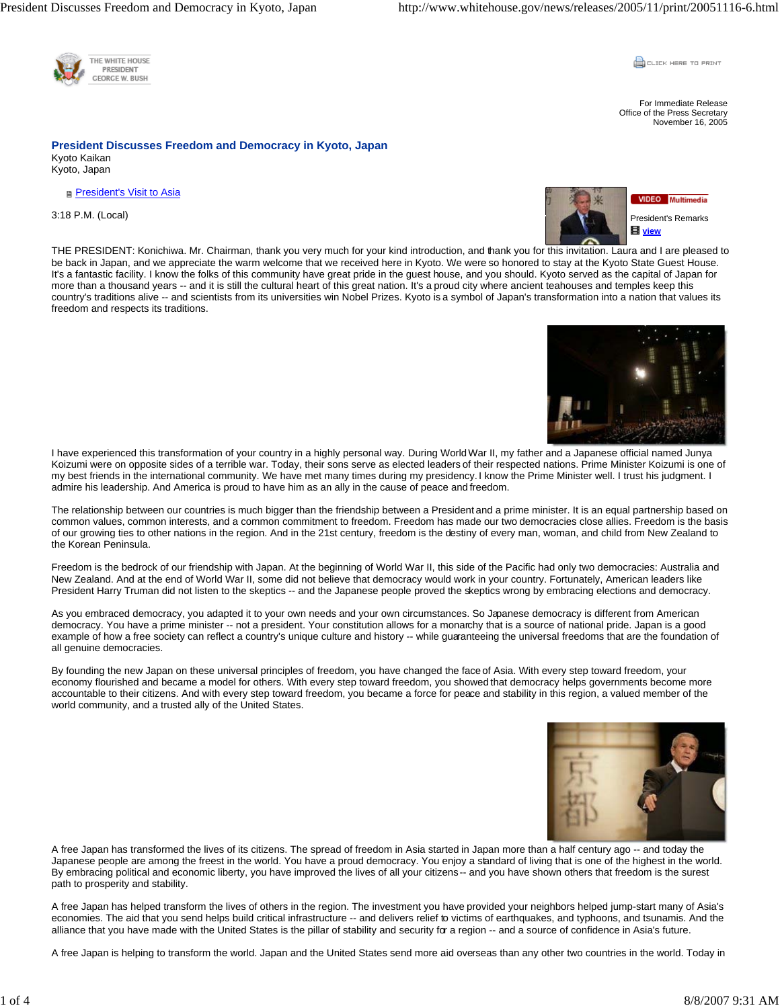

**CLICK HERE TO PRINT** 

For Immediate Release Office of the Press Secretary November 16, 2005

**President Discusses Freedom and Democracy in Kyoto, Japan**  Kyoto Kaikan Kyoto, Japan

**President's Visit to Asia** 

3:18 P.M. (Local)



THE PRESIDENT: Konichiwa. Mr. Chairman, thank you very much for your kind introduction, and thank you for this invitation. Laura and I are pleased to be back in Japan, and we appreciate the warm welcome that we received here in Kyoto. We were so honored to stay at the Kyoto State Guest House. It's a fantastic facility. I know the folks of this community have great pride in the guest house, and you should. Kyoto served as the capital of Japan for more than a thousand years -- and it is still the cultural heart of this great nation. It's a proud city where ancient teahouses and temples keep this country's traditions alive -- and scientists from its universities win Nobel Prizes. Kyoto is a symbol of Japan's transformation into a nation that values its freedom and respects its traditions.



I have experienced this transformation of your country in a highly personal way. During World War II, my father and a Japanese official named Junya Koizumi were on opposite sides of a terrible war. Today, their sons serve as elected leaders of their respected nations. Prime Minister Koizumi is one of my best friends in the international community. We have met many times during my presidency. I know the Prime Minister well. I trust his judgment. I admire his leadership. And America is proud to have him as an ally in the cause of peace and freedom.

The relationship between our countries is much bigger than the friendship between a President and a prime minister. It is an equal partnership based on common values, common interests, and a common commitment to freedom. Freedom has made our two democracies close allies. Freedom is the basis of our growing ties to other nations in the region. And in the 21st century, freedom is the destiny of every man, woman, and child from New Zealand to the Korean Peninsula.

Freedom is the bedrock of our friendship with Japan. At the beginning of World War II, this side of the Pacific had only two democracies: Australia and New Zealand. And at the end of World War II, some did not believe that democracy would work in your country. Fortunately, American leaders like President Harry Truman did not listen to the skeptics -- and the Japanese people proved the skeptics wrong by embracing elections and democracy.

As you embraced democracy, you adapted it to your own needs and your own circumstances. So Japanese democracy is different from American democracy. You have a prime minister -- not a president. Your constitution allows for a monarchy that is a source of national pride. Japan is a good example of how a free society can reflect a country's unique culture and history -- while guaranteeing the universal freedoms that are the foundation of all genuine democracies.

By founding the new Japan on these universal principles of freedom, you have changed the face of Asia. With every step toward freedom, your economy flourished and became a model for others. With every step toward freedom, you showed that democracy helps governments become more accountable to their citizens. And with every step toward freedom, you became a force for peace and stability in this region, a valued member of the world community, and a trusted ally of the United States.



A free Japan has transformed the lives of its citizens. The spread of freedom in Asia started in Japan more than a half century ago -- and today the Japanese people are among the freest in the world. You have a proud democracy. You enjoy a standard of living that is one of the highest in the world. By embracing political and economic liberty, you have improved the lives of all your citizens -- and you have shown others that freedom is the surest path to prosperity and stability.

A free Japan has helped transform the lives of others in the region. The investment you have provided your neighbors helped jump-start many of Asia's economies. The aid that you send helps build critical infrastructure -- and delivers relief to victims of earthquakes, and typhoons, and tsunamis. And the alliance that you have made with the United States is the pillar of stability and security for a region -- and a source of confidence in Asia's future.

A free Japan is helping to transform the world. Japan and the United States send more aid overseas than any other two countries in the world. Today in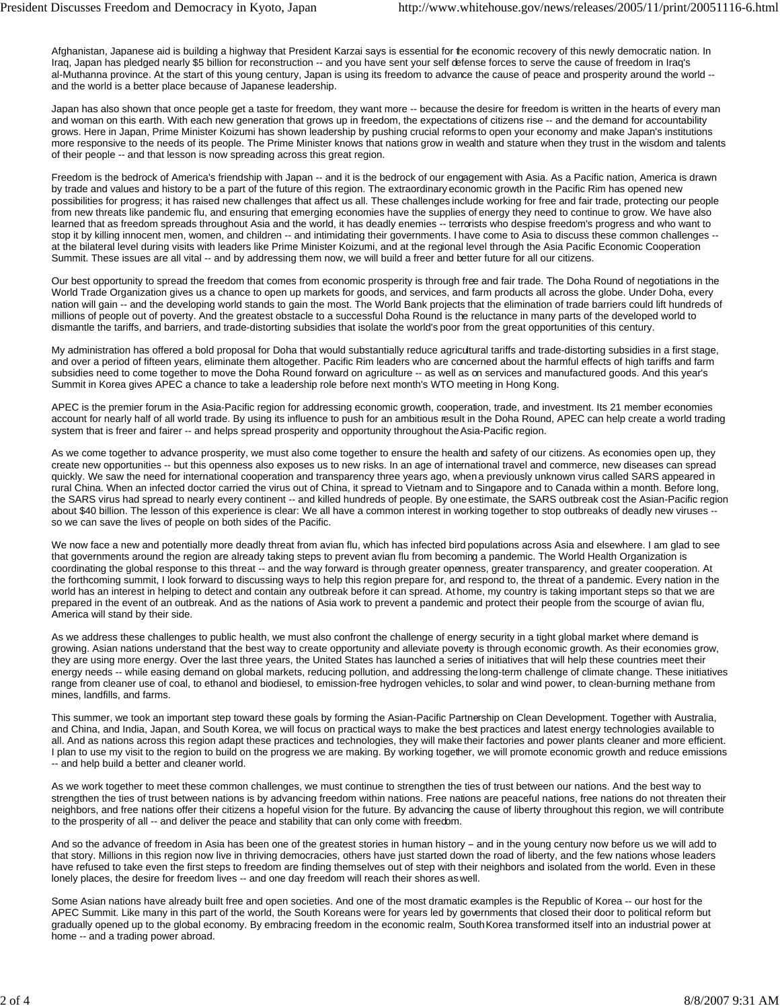Afghanistan, Japanese aid is building a highway that President Karzai says is essential for the economic recovery of this newly democratic nation. In Iraq, Japan has pledged nearly \$5 billion for reconstruction -- and you have sent your self defense forces to serve the cause of freedom in Iraq's al-Muthanna province. At the start of this young century, Japan is using its freedom to advance the cause of peace and prosperity around the world -and the world is a better place because of Japanese leadership.

Japan has also shown that once people get a taste for freedom, they want more -- because the desire for freedom is written in the hearts of every man and woman on this earth. With each new generation that grows up in freedom, the expectations of citizens rise -- and the demand for accountability grows. Here in Japan, Prime Minister Koizumi has shown leadership by pushing crucial reforms to open your economy and make Japan's institutions more responsive to the needs of its people. The Prime Minister knows that nations grow in wealth and stature when they trust in the wisdom and talents of their people -- and that lesson is now spreading across this great region.

Freedom is the bedrock of America's friendship with Japan -- and it is the bedrock of our engagement with Asia. As a Pacific nation, America is drawn by trade and values and history to be a part of the future of this region. The extraordinary economic growth in the Pacific Rim has opened new possibilities for progress; it has raised new challenges that affect us all. These challenges include working for free and fair trade, protecting our people from new threats like pandemic flu, and ensuring that emerging economies have the supplies of energy they need to continue to grow. We have also learned that as freedom spreads throughout Asia and the world, it has deadly enemies -- terrorists who despise freedom's progress and who want to stop it by killing innocent men, women, and children -- and intimidating their governments. I have come to Asia to discuss these common challenges -at the bilateral level during visits with leaders like Prime Minister Koizumi, and at the regional level through the Asia Pacific Economic Cooperation Summit. These issues are all vital -- and by addressing them now, we will build a freer and better future for all our citizens.

Our best opportunity to spread the freedom that comes from economic prosperity is through free and fair trade. The Doha Round of negotiations in the World Trade Organization gives us a chance to open up markets for goods, and services, and farm products all across the globe. Under Doha, every nation will gain -- and the developing world stands to gain the most. The World Bank projects that the elimination of trade barriers could lift hundreds of millions of people out of poverty. And the greatest obstacle to a successful Doha Round is the reluctance in many parts of the developed world to dismantle the tariffs, and barriers, and trade-distorting subsidies that isolate the world's poor from the great opportunities of this century.

My administration has offered a bold proposal for Doha that would substantially reduce agricultural tariffs and trade-distorting subsidies in a first stage, and over a period of fifteen years, eliminate them altogether. Pacific Rim leaders who are concerned about the harmful effects of high tariffs and farm subsidies need to come together to move the Doha Round forward on agriculture -- as well as on services and manufactured goods. And this year's Summit in Korea gives APEC a chance to take a leadership role before next month's WTO meeting in Hong Kong.

APEC is the premier forum in the Asia-Pacific region for addressing economic growth, cooperation, trade, and investment. Its 21 member economies account for nearly half of all world trade. By using its influence to push for an ambitious result in the Doha Round, APEC can help create a world trading system that is freer and fairer -- and helps spread prosperity and opportunity throughout the Asia-Pacific region.

As we come together to advance prosperity, we must also come together to ensure the health and safety of our citizens. As economies open up, they create new opportunities -- but this openness also exposes us to new risks. In an age of international travel and commerce, new diseases can spread quickly. We saw the need for international cooperation and transparency three years ago, when a previously unknown virus called SARS appeared in rural China. When an infected doctor carried the virus out of China, it spread to Vietnam and to Singapore and to Canada within a month. Before long, the SARS virus had spread to nearly every continent -- and killed hundreds of people. By one estimate, the SARS outbreak cost the Asian-Pacific region about \$40 billion. The lesson of this experience is clear: We all have a common interest in working together to stop outbreaks of deadly new viruses - so we can save the lives of people on both sides of the Pacific.

We now face a new and potentially more deadly threat from avian flu, which has infected bird populations across Asia and elsewhere. I am glad to see that governments around the region are already taking steps to prevent avian flu from becoming a pandemic. The World Health Organization is coordinating the global response to this threat -- and the way forward is through greater openness, greater transparency, and greater cooperation. At the forthcoming summit, I look forward to discussing ways to help this region prepare for, and respond to, the threat of a pandemic. Every nation in the world has an interest in helping to detect and contain any outbreak before it can spread. At home, my country is taking important steps so that we are prepared in the event of an outbreak. And as the nations of Asia work to prevent a pandemic and protect their people from the scourge of avian flu, America will stand by their side.

As we address these challenges to public health, we must also confront the challenge of energy security in a tight global market where demand is growing. Asian nations understand that the best way to create opportunity and alleviate poverty is through economic growth. As their economies grow, they are using more energy. Over the last three years, the United States has launched a series of initiatives that will help these countries meet their energy needs -- while easing demand on global markets, reducing pollution, and addressing the long-term challenge of climate change. These initiatives range from cleaner use of coal, to ethanol and biodiesel, to emission-free hydrogen vehicles, to solar and wind power, to clean-burning methane from mines, landfills, and farms.

This summer, we took an important step toward these goals by forming the Asian-Pacific Partnership on Clean Development. Together with Australia, and China, and India, Japan, and South Korea, we will focus on practical ways to make the best practices and latest energy technologies available to all. And as nations across this region adapt these practices and technologies, they will make their factories and power plants cleaner and more efficient. I plan to use my visit to the region to build on the progress we are making. By working together, we will promote economic growth and reduce emissions -- and help build a better and cleaner world.

As we work together to meet these common challenges, we must continue to strengthen the ties of trust between our nations. And the best way to strengthen the ties of trust between nations is by advancing freedom within nations. Free nations are peaceful nations, free nations do not threaten their neighbors, and free nations offer their citizens a hopeful vision for the future. By advancing the cause of liberty throughout this region, we will contribute to the prosperity of all -- and deliver the peace and stability that can only come with freedom.

And so the advance of freedom in Asia has been one of the greatest stories in human history - and in the young century now before us we will add to that story. Millions in this region now live in thriving democracies, others have just started down the road of liberty, and the few nations whose leaders have refused to take even the first steps to freedom are finding themselves out of step with their neighbors and isolated from the world. Even in these lonely places, the desire for freedom lives -- and one day freedom will reach their shores as well.

Some Asian nations have already built free and open societies. And one of the most dramatic examples is the Republic of Korea -- our host for the APEC Summit. Like many in this part of the world, the South Koreans were for years led by governments that closed their door to political reform but gradually opened up to the global economy. By embracing freedom in the economic realm, South Korea transformed itself into an industrial power at home -- and a trading power abroad.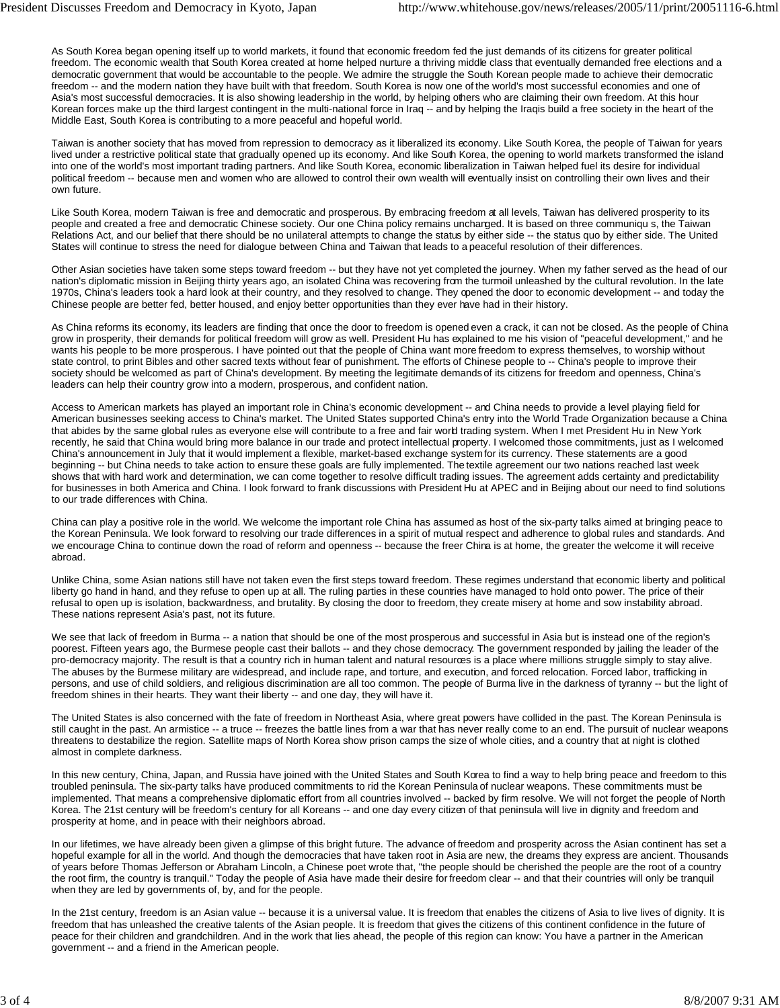As South Korea began opening itself up to world markets, it found that economic freedom fed the just demands of its citizens for greater political freedom. The economic wealth that South Korea created at home helped nurture a thriving middle class that eventually demanded free elections and a democratic government that would be accountable to the people. We admire the struggle the South Korean people made to achieve their democratic freedom -- and the modern nation they have built with that freedom. South Korea is now one of the world's most successful economies and one of Asia's most successful democracies. It is also showing leadership in the world, by helping others who are claiming their own freedom. At this hour Korean forces make up the third largest contingent in the multi-national force in Iraq -- and by helping the Iraqis build a free society in the heart of the Middle East, South Korea is contributing to a more peaceful and hopeful world.

Taiwan is another society that has moved from repression to democracy as it liberalized its economy. Like South Korea, the people of Taiwan for years lived under a restrictive political state that gradually opened up its economy. And like South Korea, the opening to world markets transformed the island into one of the world's most important trading partners. And like South Korea, economic liberalization in Taiwan helped fuel its desire for individual political freedom -- because men and women who are allowed to control their own wealth will eventually insist on controlling their own lives and their own future.

Like South Korea, modern Taiwan is free and democratic and prosperous. By embracing freedom at all levels, Taiwan has delivered prosperity to its people and created a free and democratic Chinese society. Our one China policy remains unchanged. It is based on three communiqu s, the Taiwan Relations Act, and our belief that there should be no unilateral attempts to change the status by either side -- the status quo by either side. The United States will continue to stress the need for dialogue between China and Taiwan that leads to a peaceful resolution of their differences.

Other Asian societies have taken some steps toward freedom -- but they have not yet completed the journey. When my father served as the head of our nation's diplomatic mission in Beijing thirty years ago, an isolated China was recovering from the turmoil unleashed by the cultural revolution. In the late 1970s, China's leaders took a hard look at their country, and they resolved to change. They opened the door to economic development -- and today the Chinese people are better fed, better housed, and enjoy better opportunities than they ever have had in their history.

As China reforms its economy, its leaders are finding that once the door to freedom is opened even a crack, it can not be closed. As the people of China grow in prosperity, their demands for political freedom will grow as well. President Hu has explained to me his vision of "peaceful development," and he wants his people to be more prosperous. I have pointed out that the people of China want more freedom to express themselves, to worship without state control, to print Bibles and other sacred texts without fear of punishment. The efforts of Chinese people to -- China's people to improve their society should be welcomed as part of China's development. By meeting the legitimate demands of its citizens for freedom and openness, China's leaders can help their country grow into a modern, prosperous, and confident nation.

Access to American markets has played an important role in China's economic development -- and China needs to provide a level playing field for American businesses seeking access to China's market. The United States supported China's entry into the World Trade Organization because a China that abides by the same global rules as everyone else will contribute to a free and fair world trading system. When I met President Hu in New York recently, he said that China would bring more balance in our trade and protect intellectual property. I welcomed those commitments, just as I welcomed China's announcement in July that it would implement a flexible, market-based exchange system for its currency. These statements are a good beginning -- but China needs to take action to ensure these goals are fully implemented. The textile agreement our two nations reached last week shows that with hard work and determination, we can come together to resolve difficult trading issues. The agreement adds certainty and predictability for businesses in both America and China. I look forward to frank discussions with President Hu at APEC and in Beijing about our need to find solutions to our trade differences with China.

China can play a positive role in the world. We welcome the important role China has assumed as host of the six-party talks aimed at bringing peace to the Korean Peninsula. We look forward to resolving our trade differences in a spirit of mutual respect and adherence to global rules and standards. And we encourage China to continue down the road of reform and openness -- because the freer China is at home, the greater the welcome it will receive abroad.

Unlike China, some Asian nations still have not taken even the first steps toward freedom. These regimes understand that economic liberty and political liberty go hand in hand, and they refuse to open up at all. The ruling parties in these countries have managed to hold onto power. The price of their refusal to open up is isolation, backwardness, and brutality. By closing the door to freedom, they create misery at home and sow instability abroad. These nations represent Asia's past, not its future.

We see that lack of freedom in Burma -- a nation that should be one of the most prosperous and successful in Asia but is instead one of the region's poorest. Fifteen years ago, the Burmese people cast their ballots -- and they chose democracy. The government responded by jailing the leader of the pro-democracy majority. The result is that a country rich in human talent and natural resources is a place where millions struggle simply to stay alive. The abuses by the Burmese military are widespread, and include rape, and torture, and execution, and forced relocation. Forced labor, trafficking in persons, and use of child soldiers, and religious discrimination are all too common. The people of Burma live in the darkness of tyranny -- but the light of freedom shines in their hearts. They want their liberty -- and one day, they will have it.

The United States is also concerned with the fate of freedom in Northeast Asia, where great powers have collided in the past. The Korean Peninsula is still caught in the past. An armistice -- a truce -- freezes the battle lines from a war that has never really come to an end. The pursuit of nuclear weapons threatens to destabilize the region. Satellite maps of North Korea show prison camps the size of whole cities, and a country that at night is clothed almost in complete darkness.

In this new century, China, Japan, and Russia have joined with the United States and South Korea to find a way to help bring peace and freedom to this troubled peninsula. The six-party talks have produced commitments to rid the Korean Peninsula of nuclear weapons. These commitments must be implemented. That means a comprehensive diplomatic effort from all countries involved -- backed by firm resolve. We will not forget the people of North Korea. The 21st century will be freedom's century for all Koreans -- and one day every citizen of that peninsula will live in dignity and freedom and prosperity at home, and in peace with their neighbors abroad.

In our lifetimes, we have already been given a glimpse of this bright future. The advance of freedom and prosperity across the Asian continent has set a hopeful example for all in the world. And though the democracies that have taken root in Asia are new, the dreams they express are ancient. Thousands of years before Thomas Jefferson or Abraham Lincoln, a Chinese poet wrote that, "the people should be cherished the people are the root of a country the root firm, the country is tranquil." Today the people of Asia have made their desire for freedom clear -- and that their countries will only be tranquil when they are led by governments of, by, and for the people.

In the 21st century, freedom is an Asian value -- because it is a universal value. It is freedom that enables the citizens of Asia to live lives of dignity. It is freedom that has unleashed the creative talents of the Asian people. It is freedom that gives the citizens of this continent confidence in the future of peace for their children and grandchildren. And in the work that lies ahead, the people of this region can know: You have a partner in the American government -- and a friend in the American people.